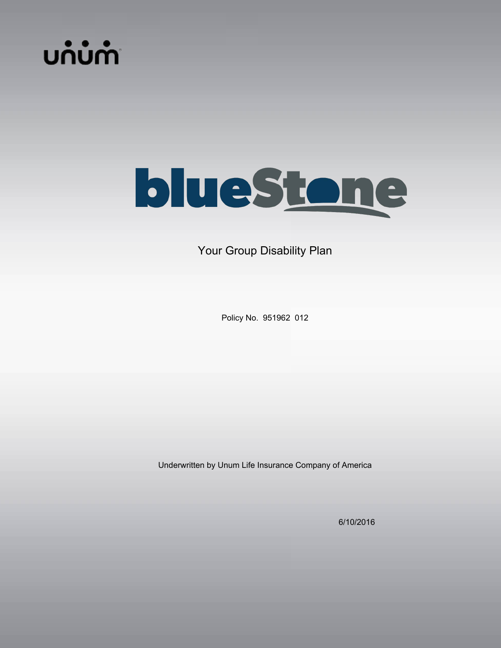



Your Group Disability Plan

Policy No. 951962 012

Underwritten by Unum Life Insurance Company of America

6/10/2016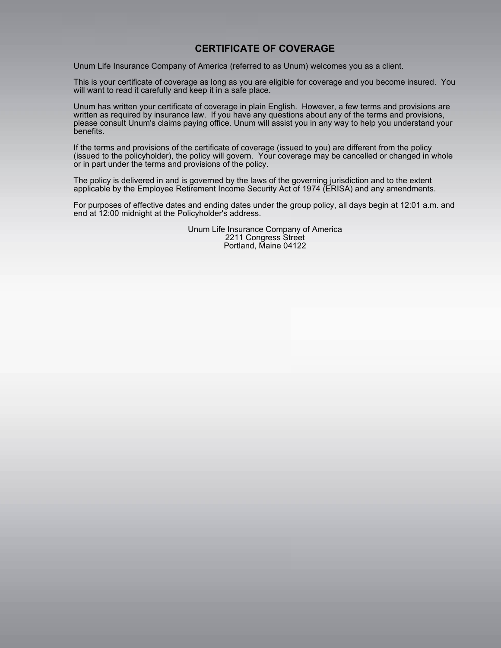# **CERTIFICATE OF COVERAGE**

Unum Life Insurance Company of America (referred to as Unum) welcomes you as a client.

This is your certificate of coverage as long as you are eligible for coverage and you become insured. You will want to read it carefully and keep it in a safe place.

Unum has written your certificate of coverage in plain English. However, a few terms and provisions are written as required by insurance law. If you have any questions about any of the terms and provisions, please consult Unum's claims paying office. Unum will assist you in any way to help you understand your benefits.

If the terms and provisions of the certificate of coverage (issued to you) are different from the policy (issued to the policyholder), the policy will govern. Your coverage may be cancelled or changed in whole or in part under the terms and provisions of the policy.

The policy is delivered in and is governed by the laws of the governing jurisdiction and to the extent applicable by the Employee Retirement Income Security Act of 1974 (ERISA) and any amendments.

For purposes of effective dates and ending dates under the group policy, all days begin at 12:01 a.m. and end at 12:00 midnight at the Policyholder's address.

> Unum Life Insurance Company of America 2211 Congress Street Portland, Maine 04122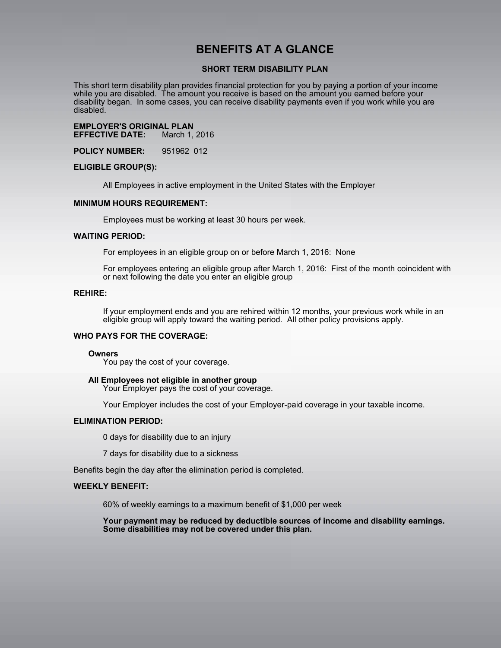# **BENEFITS AT A GLANCE**

## **SHORT TERM DISABILITY PLAN**

This short term disability plan provides financial protection for you by paying a portion of your income while you are disabled. The amount you receive is based on the amount you earned before your disability began. In some cases, you can receive disability payments even if you work while you are disabled.

**EMPLOYER'S ORIGINAL PLAN EFFECTIVE DATE:** 

**POLICY NUMBER:** 951962 012

#### **ELIGIBLE GROUP(S):**

All Employees in active employment in the United States with the Employer

#### **MINIMUM HOURS REQUIREMENT:**

Employees must be working at least 30 hours per week.

#### **WAITING PERIOD:**

For employees in an eligible group on or before March 1, 2016: None

For employees entering an eligible group after March 1, 2016: First of the month coincident with or next following the date you enter an eligible group

#### **REHIRE:**

If your employment ends and you are rehired within 12 months, your previous work while in an eligible group will apply toward the waiting period. All other policy provisions apply.

### **WHO PAYS FOR THE COVERAGE:**

#### **Owners**

You pay the cost of your coverage.

#### **All Employees not eligible in another group**

Your Employer pays the cost of your coverage.

Your Employer includes the cost of your Employer-paid coverage in your taxable income.

### **ELIMINATION PERIOD:**

0 days for disability due to an injury

7 days for disability due to a sickness

Benefits begin the day after the elimination period is completed.

## **WEEKLY BENEFIT:**

60% of weekly earnings to a maximum benefit of \$1,000 per week

**Your payment may be reduced by deductible sources of income and disability earnings. Some disabilities may not be covered under this plan.**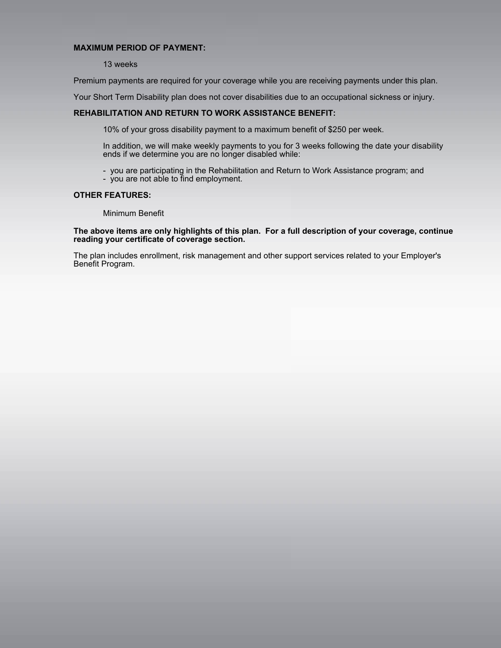## **MAXIMUM PERIOD OF PAYMENT:**

### 13 weeks

Premium payments are required for your coverage while you are receiving payments under this plan.

Your Short Term Disability plan does not cover disabilities due to an occupational sickness or injury.

## **REHABILITATION AND RETURN TO WORK ASSISTANCE BENEFIT:**

10% of your gross disability payment to a maximum benefit of \$250 per week.

In addition, we will make weekly payments to you for 3 weeks following the date your disability ends if we determine you are no longer disabled while:

- you are participating in the Rehabilitation and Return to Work Assistance program; and
- you are not able to find employment.

## **OTHER FEATURES:**

Minimum Benefit

#### **The above items are only highlights of this plan. For a full description of your coverage, continue reading your certificate of coverage section.**

The plan includes enrollment, risk management and other support services related to your Employer's Benefit Program.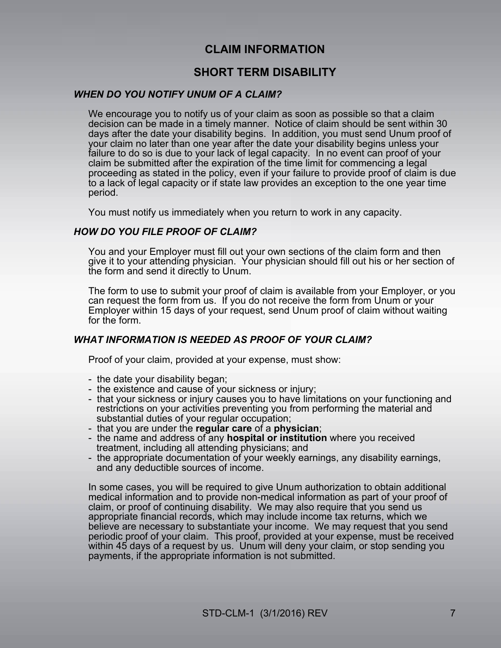# **CLAIM INFORMATION**

# **SHORT TERM DISABILITY**

# *WHEN DO YOU NOTIFY UNUM OF A CLAIM?*

We encourage you to notify us of your claim as soon as possible so that a claim decision can be made in a timely manner. Notice of claim should be sent within 30 days after the date your disability begins. In addition, you must send Unum proof of your claim no later than one year after the date your disability begins unless your failure to do so is due to your lack of legal capacity. In no event can proof of your claim be submitted after the expiration of the time limit for commencing a legal proceeding as stated in the policy, even if your failure to provide proof of claim is due to a lack of legal capacity or if state law provides an exception to the one year time period.

You must notify us immediately when you return to work in any capacity.

# *HOW DO YOU FILE PROOF OF CLAIM?*

You and your Employer must fill out your own sections of the claim form and then give it to your attending physician. Your physician should fill out his or her section of the form and send it directly to Unum.

The form to use to submit your proof of claim is available from your Employer, or you can request the form from us. If you do not receive the form from Unum or your Employer within 15 days of your request, send Unum proof of claim without waiting for the form.

# *WHAT INFORMATION IS NEEDED AS PROOF OF YOUR CLAIM?*

Proof of your claim, provided at your expense, must show:

- the date your disability began;
- the existence and cause of your sickness or injury;
- that your sickness or injury causes you to have limitations on your functioning and restrictions on your activities preventing you from performing the material and substantial duties of your regular occupation;
- that you are under the **regular care** of a **physician**;
- the name and address of any **hospital or institution** where you received treatment, including all attending physicians; and
- the appropriate documentation of your weekly earnings, any disability earnings, and any deductible sources of income.

In some cases, you will be required to give Unum authorization to obtain additional medical information and to provide non-medical information as part of your proof of claim, or proof of continuing disability. We may also require that you send us appropriate financial records, which may include income tax returns, which we believe are necessary to substantiate your income. We may request that you send periodic proof of your claim. This proof, provided at your expense, must be received within 45 days of a request by us. Unum will deny your claim, or stop sending you payments, if the appropriate information is not submitted.